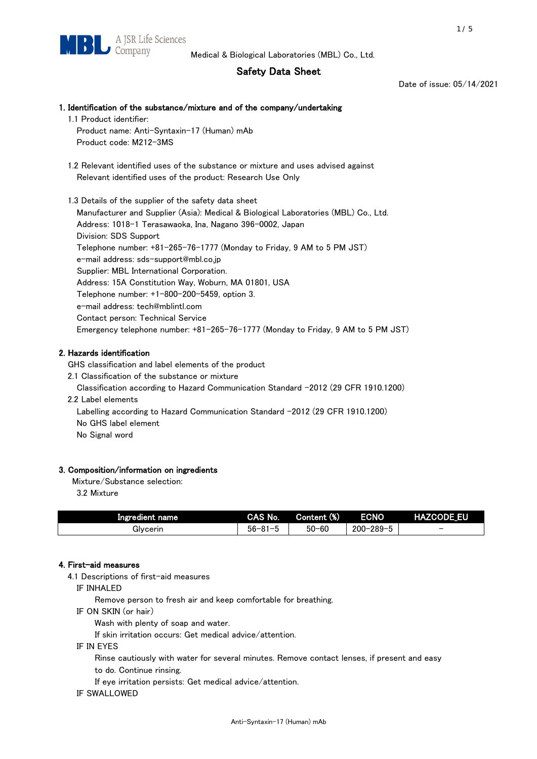# Safety Data Sheet

Date of issue: 05/14/2021

# 1. Identification of the substance/mixture and of the company/undertaking 1.1 Product identifier: Product name: Anti-Syntaxin-17 (Human) mAb Product code: M212-3MS 1.2 Relevant identified uses of the substance or mixture and uses advised against Relevant identified uses of the product: Research Use Only 1.3 Details of the supplier of the safety data sheet Manufacturer and Supplier (Asia): Medical & Biological Laboratories (MBL) Co., Ltd. Address: 1018-1 Terasawaoka, Ina, Nagano 396-0002, Japan Division: SDS Support

Telephone number: +81-265-76-1777 (Monday to Friday, 9 AM to 5 PM JST) e-mail address: sds-support@mbl.co.jp Supplier: MBL International Corporation. Address: 15A Constitution Way, Woburn, MA 01801, USA Telephone number: +1-800-200-5459, option 3. e-mail address: tech@mblintl.com Contact person: Technical Service Emergency telephone number: +81-265-76-1777 (Monday to Friday, 9 AM to 5 PM JST)

# 2. Hazards identification

GHS classification and label elements of the product

2.1 Classification of the substance or mixture

Classification according to Hazard Communication Standard -2012 (29 CFR 1910.1200)

2.2 Label elements

Labelling according to Hazard Communication Standard -2012 (29 CFR 1910.1200) No GHS label element

No Signal word

# 3. Composition/information on ingredients

Mixture/Substance selection:

3.2 Mixture

| Ingredient name | CAS No.             | Content (%) | <b>ECNO</b>                                              | <b>HAZCODE_EU</b>        |
|-----------------|---------------------|-------------|----------------------------------------------------------|--------------------------|
| Glvcerin        | $56 - 81 -$<br>ິບ ເ | $50 - 60$   | $-289 - 1$<br>$200 - 2$<br>$\overline{\phantom{0}}$<br>v | $\overline{\phantom{0}}$ |

# 4. First-aid measures

4.1 Descriptions of first-aid measures

IF INHALED

Remove person to fresh air and keep comfortable for breathing.

IF ON SKIN (or hair)

Wash with plenty of soap and water.

If skin irritation occurs: Get medical advice/attention.

IF IN EYES

Rinse cautiously with water for several minutes. Remove contact lenses, if present and easy

to do. Continue rinsing.

If eye irritation persists: Get medical advice/attention.

IF SWALLOWED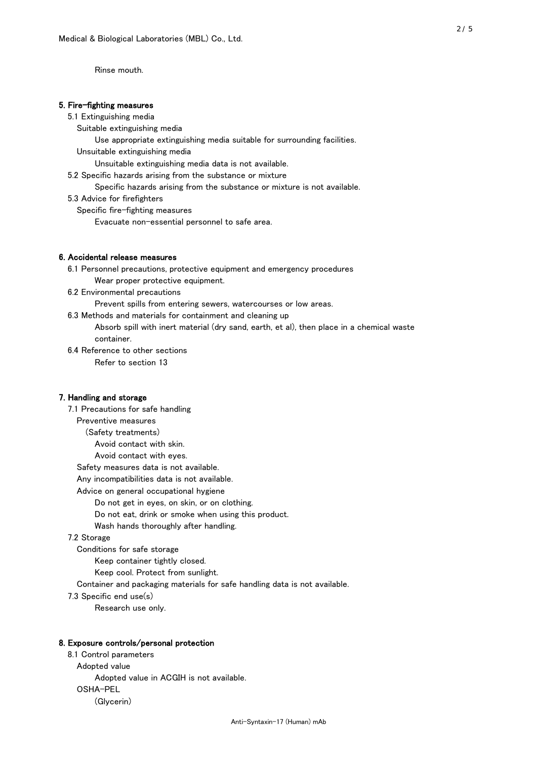Rinse mouth.

## 5. Fire-fighting measures

#### 5.1 Extinguishing media

Suitable extinguishing media

- Use appropriate extinguishing media suitable for surrounding facilities.
- Unsuitable extinguishing media

Unsuitable extinguishing media data is not available.

5.2 Specific hazards arising from the substance or mixture

Specific hazards arising from the substance or mixture is not available.

5.3 Advice for firefighters

Specific fire-fighting measures

Evacuate non-essential personnel to safe area.

#### 6. Accidental release measures

- 6.1 Personnel precautions, protective equipment and emergency procedures Wear proper protective equipment.
- 6.2 Environmental precautions

Prevent spills from entering sewers, watercourses or low areas.

6.3 Methods and materials for containment and cleaning up

- Absorb spill with inert material (dry sand, earth, et al), then place in a chemical waste container.
- 6.4 Reference to other sections

Refer to section 13

## 7. Handling and storage

 7.1 Precautions for safe handling Preventive measures (Safety treatments) Avoid contact with skin. Avoid contact with eyes. Safety measures data is not available. Any incompatibilities data is not available. Advice on general occupational hygiene Do not get in eyes, on skin, or on clothing. Do not eat, drink or smoke when using this product. Wash hands thoroughly after handling. 7.2 Storage Conditions for safe storage Keep container tightly closed.

Keep cool. Protect from sunlight.

Container and packaging materials for safe handling data is not available.

7.3 Specific end use(s)

Research use only.

#### 8. Exposure controls/personal protection

 8.1 Control parameters Adopted value Adopted value in ACGIH is not available. OSHA-PEL (Glycerin)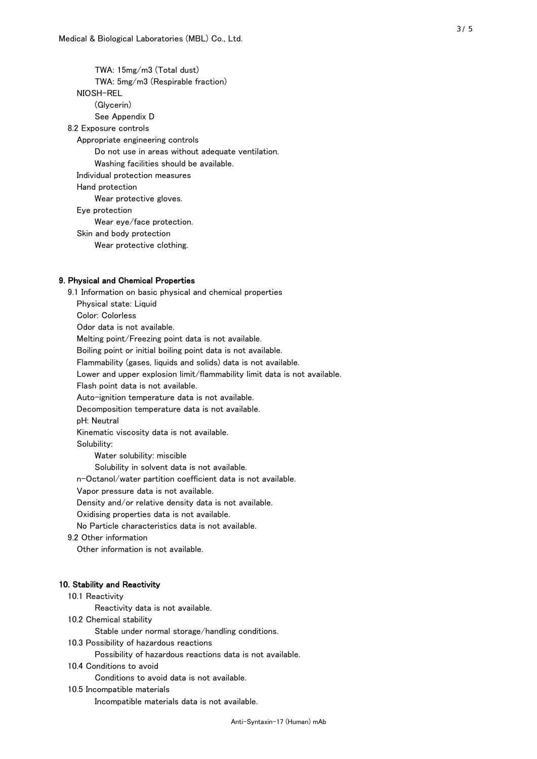TWA: 15mg/m3 (Total dust) TWA: 5mg/m3 (Respirable fraction) NIOSH-REL (Glycerin) See Appendix D 8.2 Exposure controls Appropriate engineering controls Do not use in areas without adequate ventilation. Washing facilities should be available. Individual protection measures Hand protection Wear protective gloves. Eye protection Wear eye/face protection. Skin and body protection Wear protective clothing.

# 9. Physical and Chemical Properties

 9.1 Information on basic physical and chemical properties Physical state: Liquid Color: Colorless Odor data is not available. Melting point/Freezing point data is not available. Boiling point or initial boiling point data is not available. Flammability (gases, liquids and solids) data is not available. Lower and upper explosion limit/flammability limit data is not available. Flash point data is not available. Auto-ignition temperature data is not available. Decomposition temperature data is not available. pH: Neutral Kinematic viscosity data is not available. Solubility: Water solubility: miscible Solubility in solvent data is not available. n-Octanol/water partition coefficient data is not available. Vapor pressure data is not available. Density and/or relative density data is not available. Oxidising properties data is not available. No Particle characteristics data is not available. 9.2 Other information Other information is not available. 10. Stability and Reactivity 10.1 Reactivity Reactivity data is not available. 10.2 Chemical stability Stable under normal storage/handling conditions. 10.3 Possibility of hazardous reactions

Possibility of hazardous reactions data is not available.

## 10.4 Conditions to avoid

Conditions to avoid data is not available.

#### 10.5 Incompatible materials

Incompatible materials data is not available.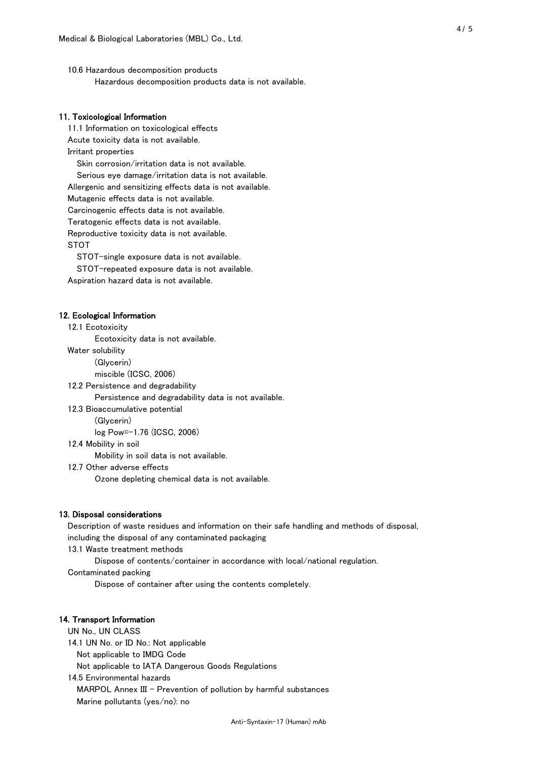10.6 Hazardous decomposition products Hazardous decomposition products data is not available.

# 11. Toxicological Information

 11.1 Information on toxicological effects Acute toxicity data is not available. Irritant properties Skin corrosion/irritation data is not available. Serious eye damage/irritation data is not available. Allergenic and sensitizing effects data is not available. Mutagenic effects data is not available. Carcinogenic effects data is not available. Teratogenic effects data is not available. Reproductive toxicity data is not available. STOT

STOT-single exposure data is not available.

STOT-repeated exposure data is not available.

Aspiration hazard data is not available.

#### 12. Ecological Information

12.1 Ecotoxicity

Ecotoxicity data is not available.

Water solubility

(Glycerin)

miscible (ICSC, 2006)

12.2 Persistence and degradability

Persistence and degradability data is not available.

12.3 Bioaccumulative potential

(Glycerin)

log Pow=-1.76 (ICSC, 2006)

12.4 Mobility in soil

Mobility in soil data is not available.

12.7 Other adverse effects

Ozone depleting chemical data is not available.

#### 13. Disposal considerations

 Description of waste residues and information on their safe handling and methods of disposal, including the disposal of any contaminated packaging

13.1 Waste treatment methods

Dispose of contents/container in accordance with local/national regulation.

Contaminated packing

Dispose of container after using the contents completely.

## 14. Transport Information

 UN No., UN CLASS 14.1 UN No. or ID No.: Not applicable Not applicable to IMDG Code Not applicable to IATA Dangerous Goods Regulations

 14.5 Environmental hazards MARPOL Annex III - Prevention of pollution by harmful substances Marine pollutants (yes/no): no